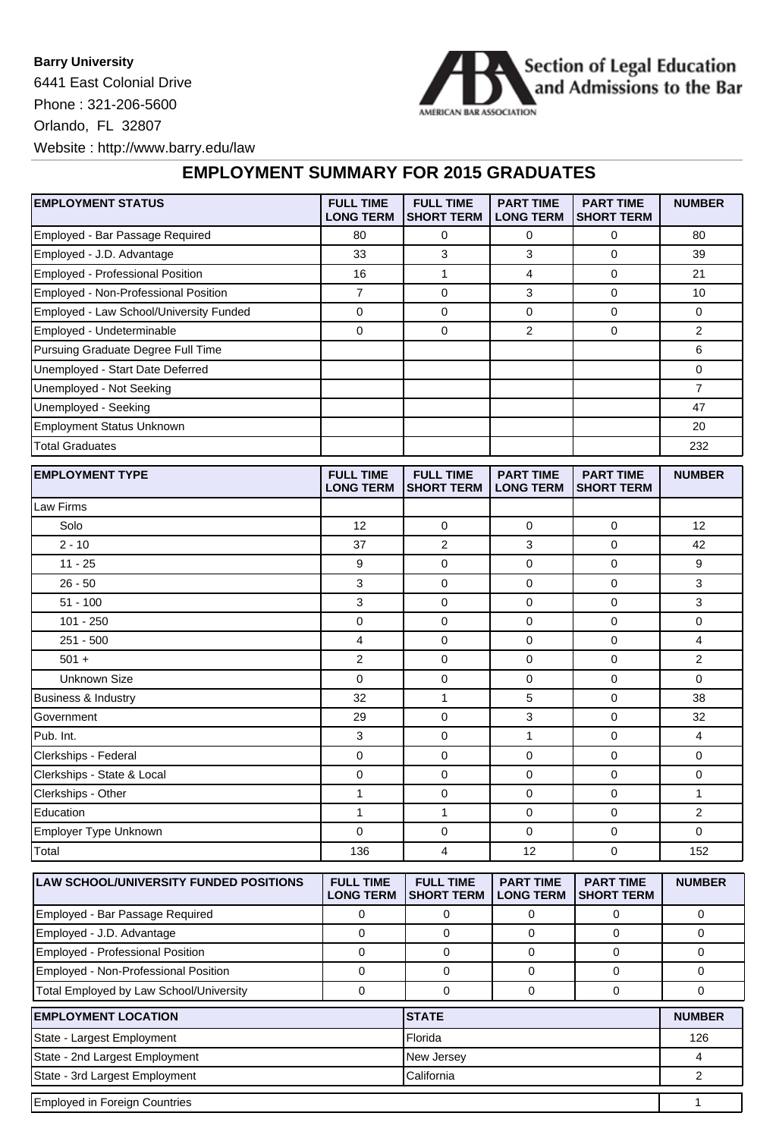**Barry University** 6441 East Colonial Drive Phone : 321-206-5600 Orlando, FL 32807 Website : http://www.barry.edu/law



**EMPLOYMENT SUMMARY FOR 2015 GRADUATES**

| <b>EMPLOYMENT STATUS</b>                      | <b>FULL TIME</b><br><b>LONG TERM</b> | <b>FULL TIME</b><br><b>SHORT TERM</b> | <b>PART TIME</b><br><b>LONG TERM</b> | <b>PART TIME</b><br><b>SHORT TERM</b> | <b>NUMBER</b>  |
|-----------------------------------------------|--------------------------------------|---------------------------------------|--------------------------------------|---------------------------------------|----------------|
| Employed - Bar Passage Required               | 80                                   | 0                                     | 0                                    | 0                                     | 80             |
| Employed - J.D. Advantage                     | 33                                   | 3                                     | 3                                    | 0                                     | 39             |
| Employed - Professional Position              | 16                                   | $\mathbf{1}$                          | $\overline{4}$                       | 0                                     | 21             |
| Employed - Non-Professional Position          | 7                                    | 0                                     | 3                                    | 0                                     | 10             |
| Employed - Law School/University Funded       | $\mathbf 0$                          | 0                                     | $\mathbf 0$                          | 0                                     | 0              |
| Employed - Undeterminable                     | 0                                    | 0                                     | 2                                    | 0                                     | 2              |
| Pursuing Graduate Degree Full Time            |                                      |                                       |                                      |                                       | 6              |
| Unemployed - Start Date Deferred              |                                      |                                       |                                      |                                       | 0              |
| Unemployed - Not Seeking                      |                                      |                                       |                                      |                                       | $\overline{7}$ |
| Unemployed - Seeking                          |                                      |                                       |                                      |                                       | 47             |
| <b>Employment Status Unknown</b>              |                                      |                                       |                                      |                                       | 20             |
| <b>Total Graduates</b>                        |                                      |                                       |                                      |                                       | 232            |
| <b>EMPLOYMENT TYPE</b>                        | <b>FULL TIME</b><br><b>LONG TERM</b> | <b>FULL TIME</b><br>SHORT TERM        | <b>PART TIME</b><br><b>LONG TERM</b> | <b>PART TIME</b><br><b>SHORT TERM</b> | <b>NUMBER</b>  |
| Law Firms                                     |                                      |                                       |                                      |                                       |                |
| Solo                                          | 12                                   | 0                                     | $\mathbf 0$                          | 0                                     | 12             |
| $2 - 10$                                      | 37                                   | 2                                     | 3                                    | 0                                     | 42             |
| $11 - 25$                                     | 9                                    | 0                                     | 0                                    | 0                                     | 9              |
| $26 - 50$                                     | 3                                    | 0                                     | $\mathbf 0$                          | 0                                     | 3              |
| $51 - 100$                                    | 3                                    | 0                                     | 0                                    | 0                                     | 3              |
| $101 - 250$                                   | $\mathbf 0$                          | 0                                     | 0                                    | 0                                     | 0              |
| $251 - 500$                                   | 4                                    | 0                                     | 0                                    | 0                                     | 4              |
| $501 +$                                       | $\overline{2}$                       | 0                                     | 0                                    | 0                                     | $\overline{2}$ |
| <b>Unknown Size</b>                           | $\mathbf 0$                          | 0                                     | $\mathbf 0$                          | 0                                     | $\Omega$       |
| <b>Business &amp; Industry</b>                | 32                                   | 1                                     | 5                                    | 0                                     | 38             |
| Government                                    | 29                                   | 0                                     | 3                                    | 0                                     | 32             |
| Pub. Int.                                     | 3                                    | 0                                     | 1                                    | 0                                     | 4              |
| Clerkships - Federal                          | 0                                    | 0                                     | 0                                    | 0                                     | 0              |
| Clerkships - State & Local                    | $\mathbf 0$                          | 0                                     | 0                                    | 0                                     | 0              |
| Clerkships - Other                            | $\mathbf{1}$                         | 0                                     | 0                                    | 0                                     | 1              |
| Education                                     | 1                                    | 1                                     | 0                                    | 0                                     | 2              |
| Employer Type Unknown                         | 0                                    | 0                                     | $\pmb{0}$                            | 0                                     | 0              |
| Total                                         | 136                                  | 4                                     | 12                                   | 0                                     | 152            |
| <b>LAW SCHOOL/UNIVERSITY FUNDED POSITIONS</b> | <b>FULL TIME</b>                     | <b>FULL TIME</b>                      | <b>PART TIME</b>                     | <b>PART TIME</b>                      | <b>NUMBER</b>  |
|                                               | <b>LONG TERM</b>                     | <b>SHORT TERM</b>                     | <b>LONG TERM</b>                     | <b>SHORT TERM</b>                     |                |
| Employed - Bar Passage Required               | 0                                    | 0                                     | 0                                    | 0                                     | 0              |
| Employed - J.D. Advantage                     | 0                                    | 0                                     | 0                                    | 0                                     | 0              |
| Employed - Professional Position              | $\mathbf 0$                          | 0                                     | 0                                    | 0                                     | 0              |
| Employed - Non-Professional Position          | 0                                    | 0                                     | 0                                    | 0                                     | 0              |
| Total Employed by Law School/University       | $\mathsf 0$                          | 0                                     | 0                                    | 0                                     | 0              |
| <b>EMPLOYMENT LOCATION</b>                    |                                      | ISTATE                                |                                      |                                       | <b>NUMBER</b>  |

| <b>EMPLOYMENT LOCATION</b>           | <b>ISTATE</b> | <b>NUMBER</b> |  |
|--------------------------------------|---------------|---------------|--|
| State - Largest Employment           | l Florida     | 126           |  |
| State - 2nd Largest Employment       | New Jersey    |               |  |
| State - 3rd Largest Employment       | l California  |               |  |
| <b>Employed in Foreign Countries</b> |               |               |  |